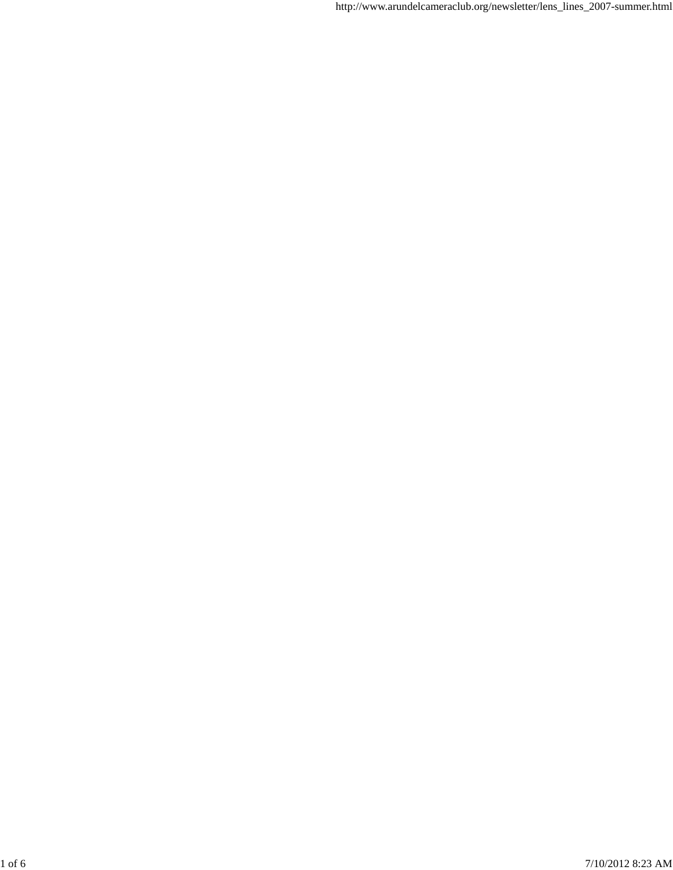http://www.arundelcameraclub.org/newsletter/lens\_lines\_2007-summer.html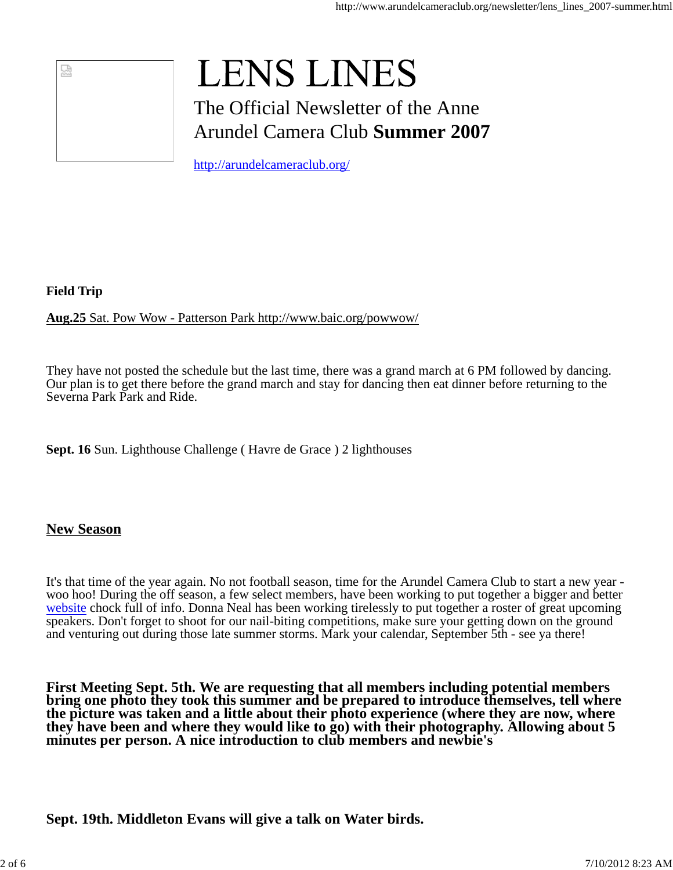

# **LENS LINES**

# The Official Newsletter of the Anne Arundel Camera Club **Summer 2007**

http://arundelcameraclub.org/

# **Field Trip**

**Aug.25** Sat. Pow Wow - Patterson Park http://www.baic.org/powwow/

They have not posted the schedule but the last time, there was a grand march at 6 PM followed by dancing. Our plan is to get there before the grand march and stay for dancing then eat dinner before returning to the Severna Park Park and Ride.

**Sept. 16** Sun. Lighthouse Challenge ( Havre de Grace ) 2 lighthouses

# **New Season**

It's that time of the year again. No not football season, time for the Arundel Camera Club to start a new year woo hoo! During the off season, a few select members, have been working to put together a bigger and better website chock full of info. Donna Neal has been working tirelessly to put together a roster of great upcoming speakers. Don't forget to shoot for our nail-biting competitions, make sure your getting down on the ground and venturing out during those late summer storms. Mark your calendar, September 5th - see ya there!

**First Meeting Sept. 5th. We are requesting that all members including potential members bring one photo they took this summer and be prepared to introduce themselves, tell where the picture was taken and a little about their photo experience (where they are now, where they have been and where they would like to go) with their photography. Allowing about 5 minutes per person. A nice introduction to club members and newbie's**

**Sept. 19th. Middleton Evans will give a talk on Water birds.**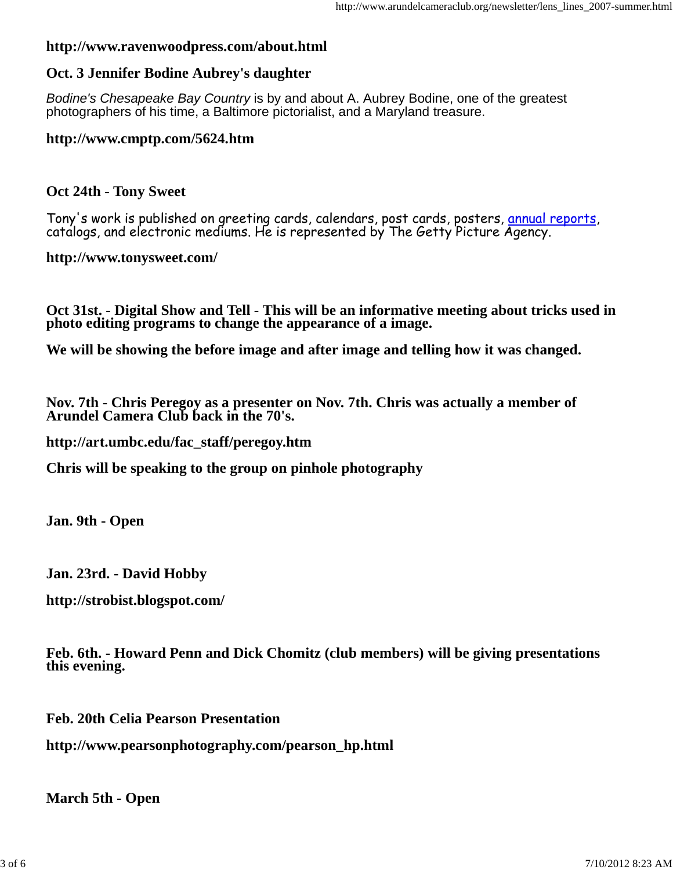# **http://www.ravenwoodpress.com/about.html**

## **Oct. 3 Jennifer Bodine Aubrey's daughter**

*Bodine's Chesapeake Bay Country* is by and about A. Aubrey Bodine, one of the greatest photographers of his time, a Baltimore pictorialist, and a Maryland treasure.

#### **http://www.cmptp.com/5624.htm**

#### **Oct 24th - Tony Sweet**

Tony's work is published on greeting cards, calendars, post cards, posters, annual reports, catalogs, and electronic mediums. He is represented by The Getty Picture Agency.

**http://www.tonysweet.com/**

**Oct 31st. - Digital Show and Tell - This will be an informative meeting about tricks used in photo editing programs to change the appearance of a image.**

**We will be showing the before image and after image and telling how it was changed.**

**Nov. 7th - Chris Peregoy as a presenter on Nov. 7th. Chris was actually a member of Arundel Camera Club back in the 70's.**

**http://art.umbc.edu/fac\_staff/peregoy.htm**

**Chris will be speaking to the group on pinhole photography**

**Jan. 9th - Open**

**Jan. 23rd. - David Hobby**

**http://strobist.blogspot.com/**

**Feb. 6th. - Howard Penn and Dick Chomitz (club members) will be giving presentations this evening.**

**Feb. 20th Celia Pearson Presentation**

**http://www.pearsonphotography.com/pearson\_hp.html**

**March 5th - Open**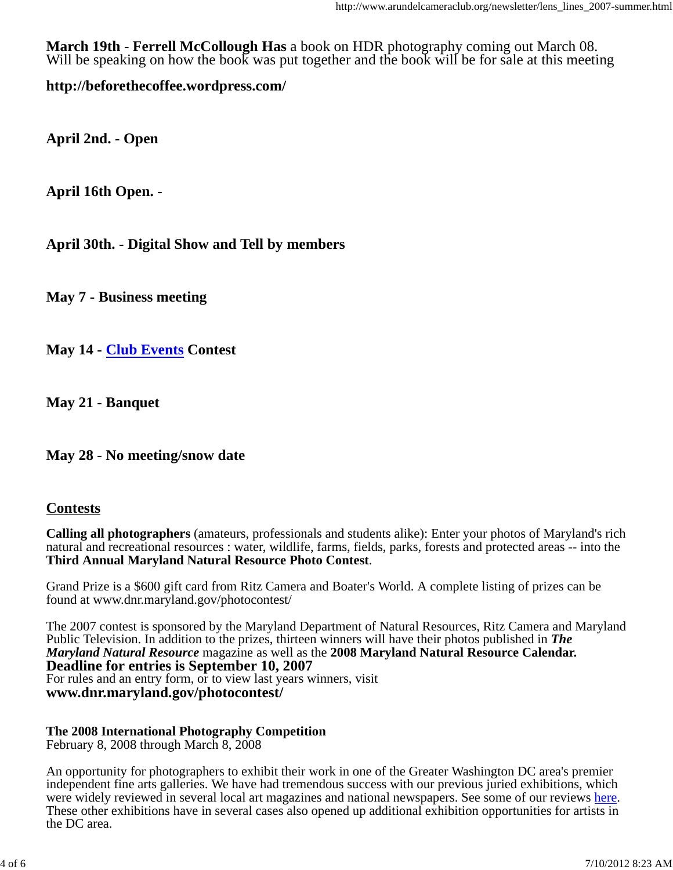**March 19th - Ferrell McCollough Has** a book on HDR photography coming out March 08. Will be speaking on how the book was put together and the book will be for sale at this meeting

# **http://beforethecoffee.wordpress.com/**

**April 2nd. - Open**

**April 16th Open. -**

**April 30th. - Digital Show and Tell by members**

**May 7 - Business meeting**

**May 14 - Club Events Contest**

**May 21 - Banquet**

**May 28 - No meeting/snow date**

# **Contests**

**Calling all photographers** (amateurs, professionals and students alike): Enter your photos of Maryland's rich natural and recreational resources : water, wildlife, farms, fields, parks, forests and protected areas -- into the **Third Annual Maryland Natural Resource Photo Contest**.

Grand Prize is a \$600 gift card from Ritz Camera and Boater's World. A complete listing of prizes can be found at www.dnr.maryland.gov/photocontest/

The 2007 contest is sponsored by the Maryland Department of Natural Resources, Ritz Camera and Maryland Public Television. In addition to the prizes, thirteen winners will have their photos published in *The Maryland Natural Resource* magazine as well as the **2008 Maryland Natural Resource Calendar. Deadline for entries is September 10, 2007** For rules and an entry form, or to view last years winners, visit **www.dnr.maryland.gov/photocontest/**

# **The 2008 International Photography Competition**

February 8, 2008 through March 8, 2008

An opportunity for photographers to exhibit their work in one of the Greater Washington DC area's premier independent fine arts galleries. We have had tremendous success with our previous juried exhibitions, which were widely reviewed in several local art magazines and national newspapers. See some of our reviews here. These other exhibitions have in several cases also opened up additional exhibition opportunities for artists in the DC area.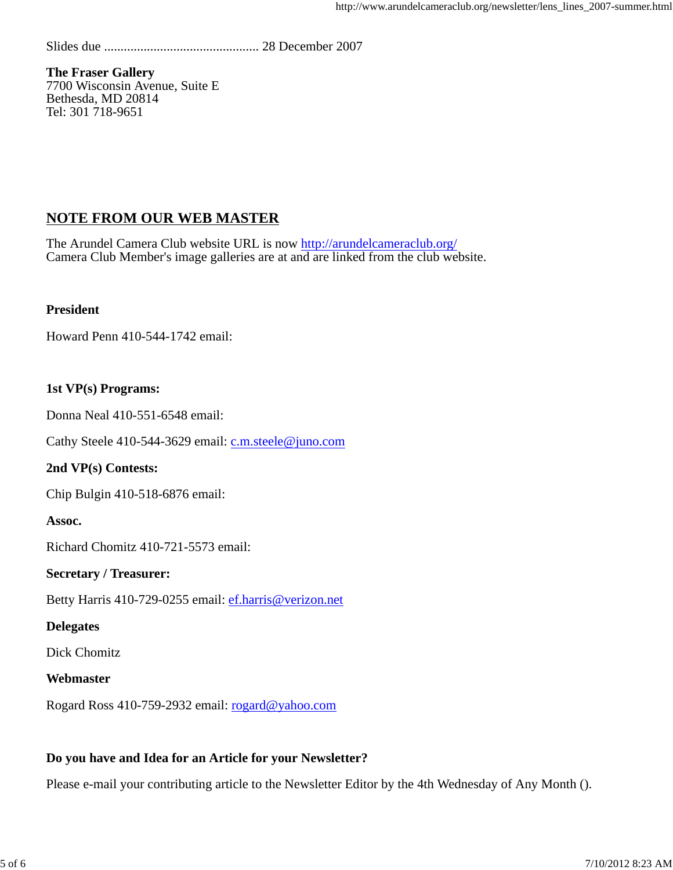Slides due ............................................... 28 December 2007

**The Fraser Gallery** 7700 Wisconsin Avenue, Suite E Bethesda, MD 20814 Tel: 301 718-9651

# **NOTE FROM OUR WEB MASTER**

The Arundel Camera Club website URL is now http://arundelcameraclub.org/ Camera Club Member's image galleries are at and are linked from the club website.

### **President**

Howard Penn 410-544-1742 email:

### **1st VP(s) Programs:**

Donna Neal 410-551-6548 email:

Cathy Steele 410-544-3629 email: c.m.steele@juno.com

### **2nd VP(s) Contests:**

Chip Bulgin 410-518-6876 email:

**Assoc.**

Richard Chomitz 410-721-5573 email:

#### **Secretary / Treasurer:**

Betty Harris 410-729-0255 email: ef.harris@verizon.net

### **Delegates**

Dick Chomitz

#### **Webmaster**

Rogard Ross 410-759-2932 email: rogard@yahoo.com

# **Do you have and Idea for an Article for your Newsletter?**

Please e-mail your contributing article to the Newsletter Editor by the 4th Wednesday of Any Month ().